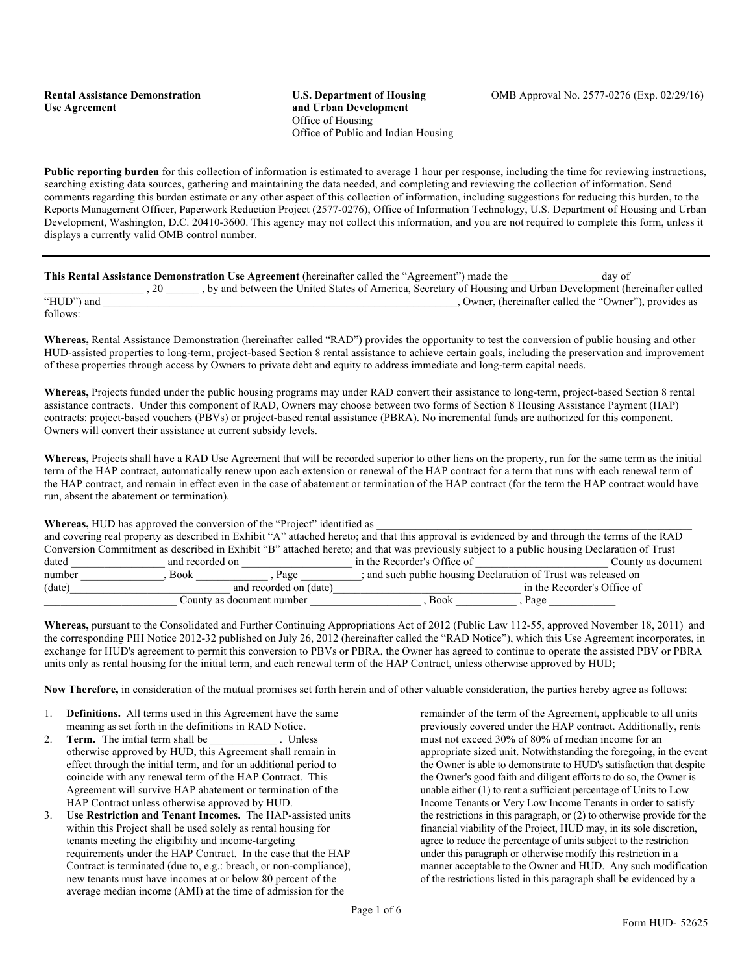**Public reporting burden** for this collection of information is estimated to average 1 hour per response, including the time for reviewing instructions, searching existing data sources, gathering and maintaining the data needed, and completing and reviewing the collection of information. Send comments regarding this burden estimate or any other aspect of this collection of information, including suggestions for reducing this burden, to the Reports Management Officer, Paperwork Reduction Project (2577-0276), Office of Information Technology, U.S. Department of Housing and Urban Development, Washington, D.C. 20410-3600. This agency may not collect this information, and you are not required to complete this form, unless it displays a currently valid OMB control number.

|            | This Rental Assistance Demonstration Use Agreement (hereinafter called the "Agreement") made the            | day of                                               |
|------------|-------------------------------------------------------------------------------------------------------------|------------------------------------------------------|
|            | by and between the United States of America, Secretary of Housing and Urban Development (hereinafter called |                                                      |
| "HUD") and |                                                                                                             | Owner, (hereinafter called the "Owner"), provides as |
| follows    |                                                                                                             |                                                      |

**Whereas,** Rental Assistance Demonstration (hereinafter called "RAD") provides the opportunity to test the conversion of public housing and other HUD-assisted properties to long-term, project-based Section 8 rental assistance to achieve certain goals, including the preservation and improvement of these properties through access by Owners to private debt and equity to address immediate and long-term capital needs.

**Whereas,** Projects funded under the public housing programs may under RAD convert their assistance to long-term, project-based Section 8 rental assistance contracts. Under this component of RAD, Owners may choose between two forms of Section 8 Housing Assistance Payment (HAP) contracts: project-based vouchers (PBVs) or project-based rental assistance (PBRA). No incremental funds are authorized for this component. Owners will convert their assistance at current subsidy levels.

Whereas, Projects shall have a RAD Use Agreement that will be recorded superior to other liens on the property, run for the same term as the initial term of the HAP contract, automatically renew upon each extension or renewal of the HAP contract for a term that runs with each renewal term of the HAP contract, and remain in effect even in the case of abatement or termination of the HAP contract (for the term the HAP contract would have run, absent the abatement or termination).

**Whereas, HUD** has approved the conversion of the "Project" identified as and covering real property as described in Exhibit "A" attached hereto; and that this approval is evidenced by and through the terms of the RAD Conversion Commitment as described in Exhibit "B" attached hereto; and that was previously subject to a public housing Declaration of Trust dated and recorded on  $\Box$  in the Recorder's Office of  $\Box$  County as document number \_\_\_\_\_\_\_\_\_\_\_, Book \_\_\_\_\_\_\_\_\_, Page \_\_\_\_\_\_; and such public housing Declaration of Trust was released on (date) in the Recorder's Office of (date) and recorded on (date) and recorded on (date) in the Recorder's Office of County as document number the set of the set of the set of the set of the set of the set of the set of the set of the set of the set of the set of the set of the set of the set of the set of the set of the set of the set o

**Whereas,** pursuant to the Consolidated and Further Continuing Appropriations Act of 2012 (Public Law 112-55, approved November 18, 2011) and the corresponding PIH Notice 2012-32 published on July 26, 2012 (hereinafter called the "RAD Notice"), which this Use Agreement incorporates, in exchange for HUD's agreement to permit this conversion to PBVs or PBRA, the Owner has agreed to continue to operate the assisted PBV or PBRA units only as rental housing for the initial term, and each renewal term of the HAP Contract, unless otherwise approved by HUD;

**Now Therefore,** in consideration of the mutual promises set forth herein and of other valuable consideration, the parties hereby agree as follows:

- 1. **Definitions.** All terms used in this Agreement have the same meaning as set forth in the definitions in RAD Notice.
- 2. **Term.** The initial term shall be \_\_\_\_\_\_\_\_\_\_\_\_\_\_\_\_. Unless otherwise approved by HUD, this Agreement shall remain in effect through the initial term, and for an additional period to coincide with any renewal term of the HAP Contract. This Agreement will survive HAP abatement or termination of the HAP Contract unless otherwise approved by HUD.
- 3. **Use Restriction and Tenant Incomes.** The HAP-assisted units within this Project shall be used solely as rental housing for tenants meeting the eligibility and income-targeting requirements under the HAP Contract. In the case that the HAP Contract is terminated (due to, e.g.: breach, or non-compliance), new tenants must have incomes at or below 80 percent of the average median income (AMI) at the time of admission for the

remainder of the term of the Agreement, applicable to all units previously covered under the HAP contract. Additionally, rents must not exceed 30% of 80% of median income for an appropriate sized unit. Notwithstanding the foregoing, in the event the Owner is able to demonstrate to HUD's satisfaction that despite the Owner's good faith and diligent efforts to do so, the Owner is unable either (1) to rent a sufficient percentage of Units to Low Income Tenants or Very Low Income Tenants in order to satisfy the restrictions in this paragraph, or (2) to otherwise provide for the financial viability of the Project, HUD may, in its sole discretion, agree to reduce the percentage of units subject to the restriction under this paragraph or otherwise modify this restriction in a manner acceptable to the Owner and HUD. Any such modification of the restrictions listed in this paragraph shall be evidenced by a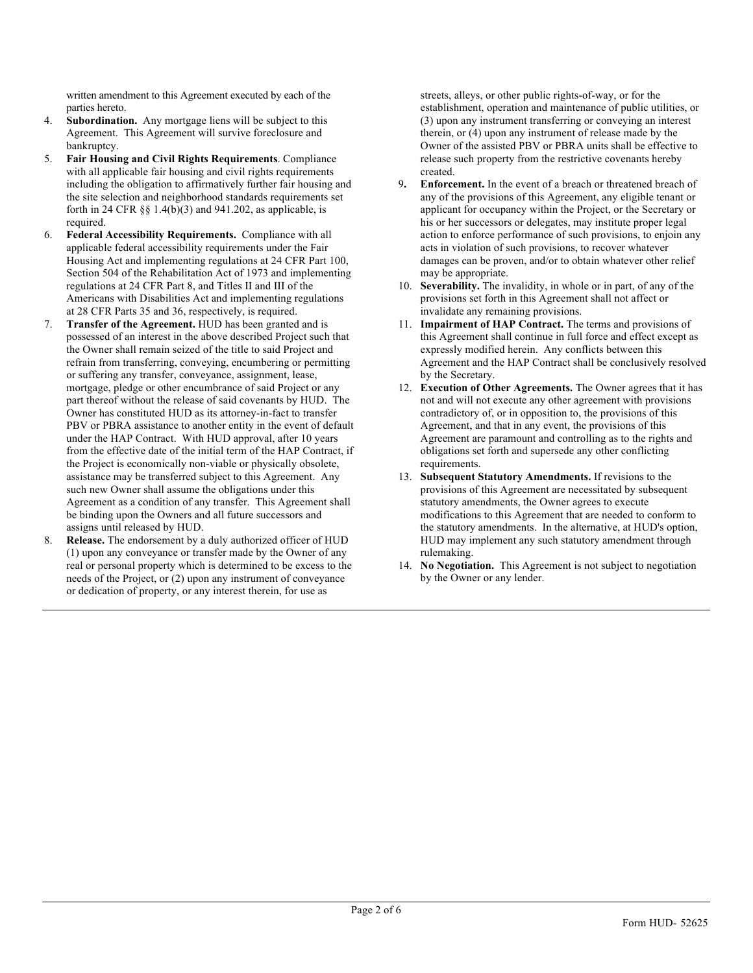written amendment to this Agreement executed by each of the parties hereto.

- 4. **Subordination.** Any mortgage liens will be subject to this Agreement. This Agreement will survive foreclosure and bankruptcy.
- 5. **Fair Housing and Civil Rights Requirements**. Compliance with all applicable fair housing and civil rights requirements including the obligation to affirmatively further fair housing and the site selection and neighborhood standards requirements set forth in 24 CFR §§ 1.4(b)(3) and 941.202, as applicable, is required.
- 6. **Federal Accessibility Requirements.** Compliance with all applicable federal accessibility requirements under the Fair Housing Act and implementing regulations at 24 CFR Part 100, Section 504 of the Rehabilitation Act of 1973 and implementing regulations at 24 CFR Part 8, and Titles II and III of the Americans with Disabilities Act and implementing regulations at 28 CFR Parts 35 and 36, respectively, is required.
- 7. **Transfer of the Agreement.** HUD has been granted and is possessed of an interest in the above described Project such that the Owner shall remain seized of the title to said Project and refrain from transferring, conveying, encumbering or permitting or suffering any transfer, conveyance, assignment, lease, mortgage, pledge or other encumbrance of said Project or any part thereof without the release of said covenants by HUD. The Owner has constituted HUD as its attorney-in-fact to transfer PBV or PBRA assistance to another entity in the event of default under the HAP Contract. With HUD approval, after 10 years from the effective date of the initial term of the HAP Contract, if the Project is economically non-viable or physically obsolete, assistance may be transferred subject to this Agreement. Any such new Owner shall assume the obligations under this Agreement as a condition of any transfer. This Agreement shall be binding upon the Owners and all future successors and assigns until released by HUD.
- 8. **Release.** The endorsement by a duly authorized officer of HUD (1) upon any conveyance or transfer made by the Owner of any real or personal property which is determined to be excess to the needs of the Project, or (2) upon any instrument of conveyance or dedication of property, or any interest therein, for use as

streets, alleys, or other public rights-of-way, or for the establishment, operation and maintenance of public utilities, or (3) upon any instrument transferring or conveying an interest therein, or (4) upon any instrument of release made by the Owner of the assisted PBV or PBRA units shall be effective to release such property from the restrictive covenants hereby created.

- 9**. Enforcement.** In the event of a breach or threatened breach of any of the provisions of this Agreement, any eligible tenant or applicant for occupancy within the Project, or the Secretary or his or her successors or delegates, may institute proper legal action to enforce performance of such provisions, to enjoin any acts in violation of such provisions, to recover whatever damages can be proven, and/or to obtain whatever other relief may be appropriate.
- 10. **Severability.** The invalidity, in whole or in part, of any of the provisions set forth in this Agreement shall not affect or invalidate any remaining provisions.
- 11. **Impairment of HAP Contract.** The terms and provisions of this Agreement shall continue in full force and effect except as expressly modified herein. Any conflicts between this Agreement and the HAP Contract shall be conclusively resolved by the Secretary.
- 12. **Execution of Other Agreements.** The Owner agrees that it has not and will not execute any other agreement with provisions contradictory of, or in opposition to, the provisions of this Agreement, and that in any event, the provisions of this Agreement are paramount and controlling as to the rights and obligations set forth and supersede any other conflicting requirements.
- 13. **Subsequent Statutory Amendments.** If revisions to the provisions of this Agreement are necessitated by subsequent statutory amendments, the Owner agrees to execute modifications to this Agreement that are needed to conform to the statutory amendments. In the alternative, at HUD's option, HUD may implement any such statutory amendment through rulemaking.
- 14. **No Negotiation.** This Agreement is not subject to negotiation by the Owner or any lender.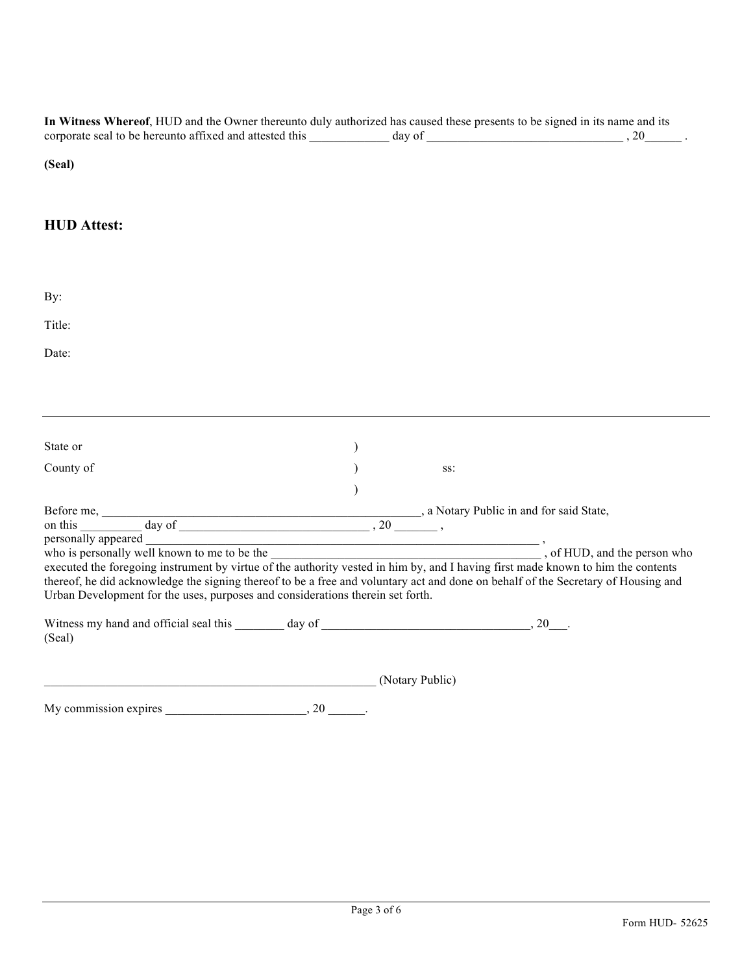**In Witness Whereof**, HUD and the Owner thereunto duly authorized has caused these presents to be signed in its name and its corporate seal to be hereunto affixed and attested this  $\frac{1}{\sqrt{1-\frac{1}{2}}}\cdot\frac{1}{\sqrt{1-\frac{1}{2}}}\cdot\frac{1}{\sqrt{1-\frac{1}{2}}}\cdot\frac{1}{\sqrt{1-\frac{1}{2}}}\cdot\frac{1}{\sqrt{1-\frac{1}{2}}}\cdot\frac{1}{\sqrt{1-\frac{1}{2}}}\cdot\frac{1}{\sqrt{1-\frac{1}{2}}}\cdot\frac{1}{\sqrt{1-\frac{1}{2}}}\cdot\frac{1}{\sqrt{1-\frac{1}{2}}}\cdot\frac$ 

## **(Seal)**

## **HUD Attest:**

| By:                                                                                                                                                                                                                                                                                                                                                                                                                                                         |  |                 |  |
|-------------------------------------------------------------------------------------------------------------------------------------------------------------------------------------------------------------------------------------------------------------------------------------------------------------------------------------------------------------------------------------------------------------------------------------------------------------|--|-----------------|--|
| Title:                                                                                                                                                                                                                                                                                                                                                                                                                                                      |  |                 |  |
| Date:                                                                                                                                                                                                                                                                                                                                                                                                                                                       |  |                 |  |
|                                                                                                                                                                                                                                                                                                                                                                                                                                                             |  |                 |  |
|                                                                                                                                                                                                                                                                                                                                                                                                                                                             |  |                 |  |
| State or                                                                                                                                                                                                                                                                                                                                                                                                                                                    |  |                 |  |
| County of                                                                                                                                                                                                                                                                                                                                                                                                                                                   |  | SS:             |  |
|                                                                                                                                                                                                                                                                                                                                                                                                                                                             |  |                 |  |
|                                                                                                                                                                                                                                                                                                                                                                                                                                                             |  |                 |  |
|                                                                                                                                                                                                                                                                                                                                                                                                                                                             |  |                 |  |
| who is personally well known to me to be the <b>we can be allowed as a set of the authority vested in him by, and I having first made known to him the contents of the authority vested in him by, and I having first made known</b><br>thereof, he did acknowledge the signing thereof to be a free and voluntary act and done on behalf of the Secretary of Housing and<br>Urban Development for the uses, purposes and considerations therein set forth. |  |                 |  |
| (Seal)                                                                                                                                                                                                                                                                                                                                                                                                                                                      |  |                 |  |
| <u> 1989 - Johann Barbara, martxa alemaniar a</u>                                                                                                                                                                                                                                                                                                                                                                                                           |  | (Notary Public) |  |
| My commission expires $\qquad \qquad 20 \qquad \qquad .$                                                                                                                                                                                                                                                                                                                                                                                                    |  |                 |  |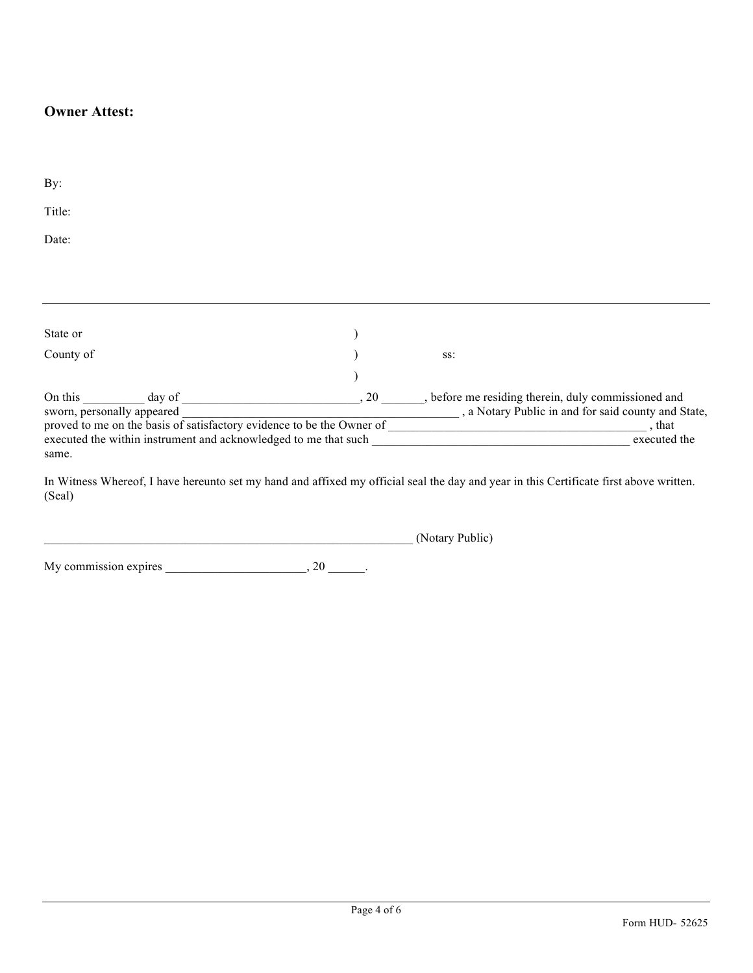## **Owner Attest:**

| By:                                                                           |                                                                 |     |                                                      |  |  |  |  |
|-------------------------------------------------------------------------------|-----------------------------------------------------------------|-----|------------------------------------------------------|--|--|--|--|
|                                                                               |                                                                 |     |                                                      |  |  |  |  |
| Title:                                                                        |                                                                 |     |                                                      |  |  |  |  |
| Date:                                                                         |                                                                 |     |                                                      |  |  |  |  |
|                                                                               |                                                                 |     |                                                      |  |  |  |  |
|                                                                               |                                                                 |     |                                                      |  |  |  |  |
|                                                                               |                                                                 |     |                                                      |  |  |  |  |
|                                                                               |                                                                 |     |                                                      |  |  |  |  |
| State or                                                                      |                                                                 |     |                                                      |  |  |  |  |
| County of                                                                     |                                                                 |     | SS:                                                  |  |  |  |  |
|                                                                               |                                                                 |     |                                                      |  |  |  |  |
| On this                                                                       | day of                                                          | .20 | , before me residing therein, duly commissioned and  |  |  |  |  |
| sworn, personally appeared                                                    |                                                                 |     | _, a Notary Public in and for said county and State, |  |  |  |  |
| proved to me on the basis of satisfactory evidence to be the Owner of<br>that |                                                                 |     |                                                      |  |  |  |  |
|                                                                               | executed the within instrument and acknowledged to me that such |     | executed the                                         |  |  |  |  |
| same.                                                                         |                                                                 |     |                                                      |  |  |  |  |
|                                                                               |                                                                 |     |                                                      |  |  |  |  |

In Witness Whereof, I have hereunto set my hand and affixed my official seal the day and year in this Certificate first above written. (Seal)

\_\_\_\_\_\_\_\_\_\_\_\_\_\_\_\_\_\_\_\_\_\_\_\_\_\_\_\_\_\_\_\_\_\_\_\_\_\_\_\_\_\_\_\_\_\_\_\_\_\_\_\_\_\_\_\_\_\_\_\_ (Notary Public)

My commission expires  $\frac{1}{20}$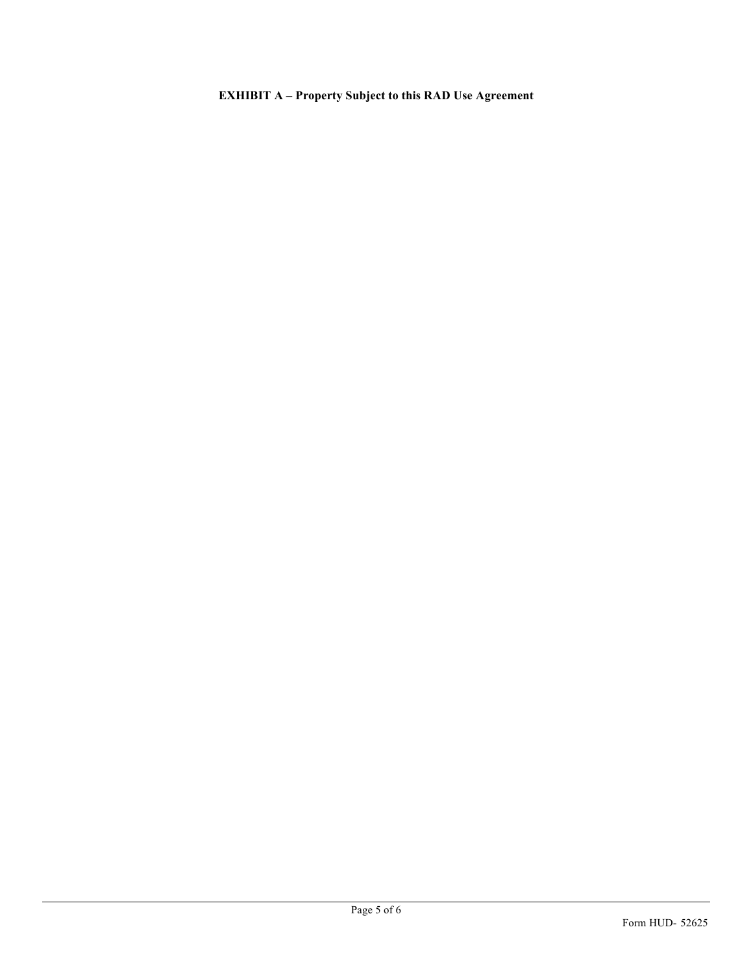**EXHIBIT A – Property Subject to this RAD Use Agreement**